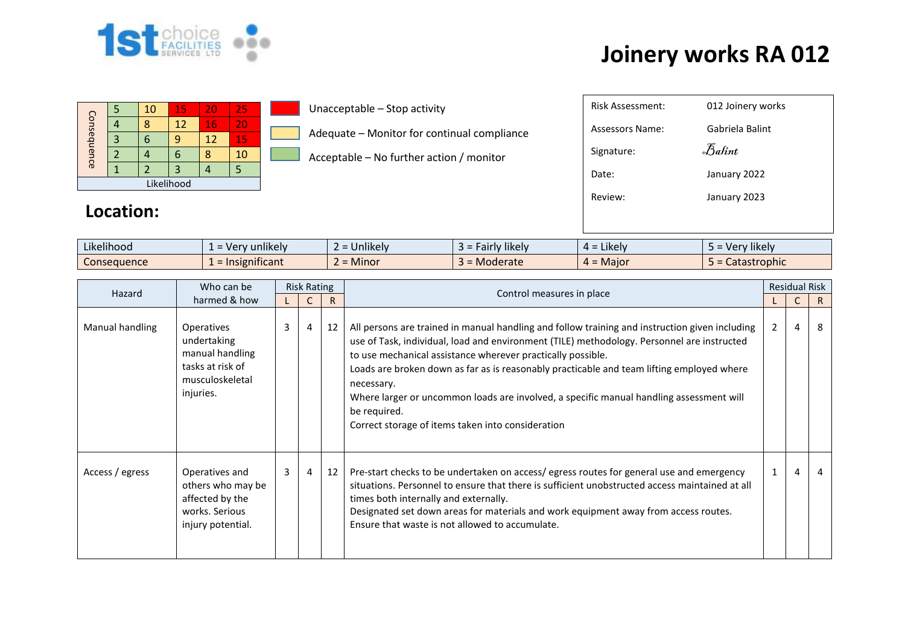

## **Joinery works RA 012**

|             |  | 10 | 15 | 20 | 25 |  |  |  |  |  |  |
|-------------|--|----|----|----|----|--|--|--|--|--|--|
| Consequence |  |    | 12 | 16 | 20 |  |  |  |  |  |  |
|             |  |    | q  | 12 | 15 |  |  |  |  |  |  |
|             |  |    | 6  |    | 10 |  |  |  |  |  |  |
|             |  |    |    |    |    |  |  |  |  |  |  |
| Likelihood  |  |    |    |    |    |  |  |  |  |  |  |

| Likelihood<br>Review:<br>January 2023<br>Location: |
|----------------------------------------------------|
|----------------------------------------------------|

| Likelihood  | .<br>Very unlikely<br>$\overline{\phantom{0}}$<br>$\overline{\phantom{0}}$ | $\cdots$<br>Jnlikely<br>- | $\cdots$<br>Fairly likely<br>- 1<br>.  | .<br>Likely<br>$4 =$                                                 | 1.1<br>Very likely                                       |
|-------------|----------------------------------------------------------------------------|---------------------------|----------------------------------------|----------------------------------------------------------------------|----------------------------------------------------------|
| Consequence | $\cdot$ $\cdot$<br>Insignificant<br>$\overline{\phantom{0}}$               | <b>Minor</b>              | = Moderate<br>$\overline{\phantom{0}}$ | : Major<br>$\overline{\phantom{a}}$<br>4<br>$\overline{\phantom{0}}$ | trophic<br>$\sim$ $\sim$ $\sim$ $\sim$ $\sim$<br>caldsli |

| Hazard          | Who can be                                                                                              | <b>Risk Rating</b> |    |    | Control measures in place                                                                                                                                                                                                                                                                                                                                                                                                                                                                                                              |                |   | <b>Residual Risk</b> |  |
|-----------------|---------------------------------------------------------------------------------------------------------|--------------------|----|----|----------------------------------------------------------------------------------------------------------------------------------------------------------------------------------------------------------------------------------------------------------------------------------------------------------------------------------------------------------------------------------------------------------------------------------------------------------------------------------------------------------------------------------------|----------------|---|----------------------|--|
|                 | harmed & how                                                                                            |                    | C. | R  |                                                                                                                                                                                                                                                                                                                                                                                                                                                                                                                                        |                | C | R.                   |  |
| Manual handling | <b>Operatives</b><br>undertaking<br>manual handling<br>tasks at risk of<br>musculoskeletal<br>injuries. | 3                  | 4  | 12 | All persons are trained in manual handling and follow training and instruction given including<br>use of Task, individual, load and environment (TILE) methodology. Personnel are instructed<br>to use mechanical assistance wherever practically possible.<br>Loads are broken down as far as is reasonably practicable and team lifting employed where<br>necessary.<br>Where larger or uncommon loads are involved, a specific manual handling assessment will<br>be required.<br>Correct storage of items taken into consideration | $\overline{2}$ | 4 | 8                    |  |
| Access / egress | Operatives and<br>others who may be<br>affected by the<br>works. Serious<br>injury potential.           | 3                  | 4  | 12 | Pre-start checks to be undertaken on access/egress routes for general use and emergency<br>situations. Personnel to ensure that there is sufficient unobstructed access maintained at all<br>times both internally and externally.<br>Designated set down areas for materials and work equipment away from access routes.<br>Ensure that waste is not allowed to accumulate.                                                                                                                                                           | 1              | 4 | 4                    |  |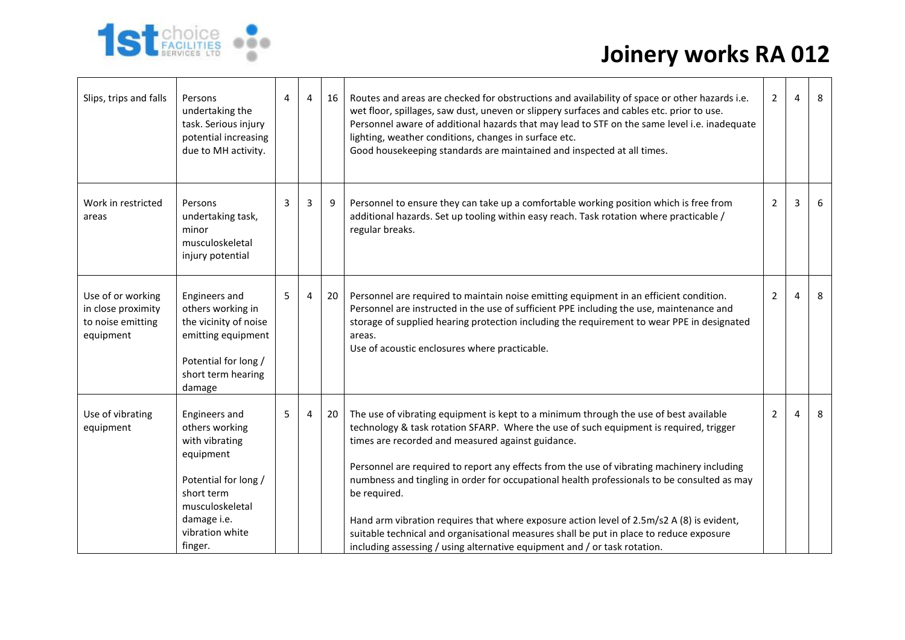## **Joinery works RA 012**



| Slips, trips and falls                                                    | Persons<br>undertaking the<br>task. Serious injury<br>potential increasing<br>due to MH activity.                                                                    | 4 | $\overline{4}$ | 16 | Routes and areas are checked for obstructions and availability of space or other hazards i.e.<br>wet floor, spillages, saw dust, uneven or slippery surfaces and cables etc. prior to use.<br>Personnel aware of additional hazards that may lead to STF on the same level i.e. inadequate<br>lighting, weather conditions, changes in surface etc.<br>Good housekeeping standards are maintained and inspected at all times.                                                                                                                                                                                                                                                                                          | 2 | 4 | 8 |
|---------------------------------------------------------------------------|----------------------------------------------------------------------------------------------------------------------------------------------------------------------|---|----------------|----|------------------------------------------------------------------------------------------------------------------------------------------------------------------------------------------------------------------------------------------------------------------------------------------------------------------------------------------------------------------------------------------------------------------------------------------------------------------------------------------------------------------------------------------------------------------------------------------------------------------------------------------------------------------------------------------------------------------------|---|---|---|
| Work in restricted<br>areas                                               | Persons<br>undertaking task,<br>minor<br>musculoskeletal<br>injury potential                                                                                         | 3 | 3              | 9  | Personnel to ensure they can take up a comfortable working position which is free from<br>additional hazards. Set up tooling within easy reach. Task rotation where practicable /<br>regular breaks.                                                                                                                                                                                                                                                                                                                                                                                                                                                                                                                   | 2 | 3 | 6 |
| Use of or working<br>in close proximity<br>to noise emitting<br>equipment | Engineers and<br>others working in<br>the vicinity of noise<br>emitting equipment<br>Potential for long /<br>short term hearing<br>damage                            | 5 | 4              | 20 | Personnel are required to maintain noise emitting equipment in an efficient condition.<br>Personnel are instructed in the use of sufficient PPE including the use, maintenance and<br>storage of supplied hearing protection including the requirement to wear PPE in designated<br>areas.<br>Use of acoustic enclosures where practicable.                                                                                                                                                                                                                                                                                                                                                                            | 2 | 4 | 8 |
| Use of vibrating<br>equipment                                             | Engineers and<br>others working<br>with vibrating<br>equipment<br>Potential for long /<br>short term<br>musculoskeletal<br>damage i.e.<br>vibration white<br>finger. | 5 | 4              | 20 | The use of vibrating equipment is kept to a minimum through the use of best available<br>technology & task rotation SFARP. Where the use of such equipment is required, trigger<br>times are recorded and measured against guidance.<br>Personnel are required to report any effects from the use of vibrating machinery including<br>numbness and tingling in order for occupational health professionals to be consulted as may<br>be required.<br>Hand arm vibration requires that where exposure action level of 2.5m/s2 A (8) is evident,<br>suitable technical and organisational measures shall be put in place to reduce exposure<br>including assessing / using alternative equipment and / or task rotation. | 2 | 4 | 8 |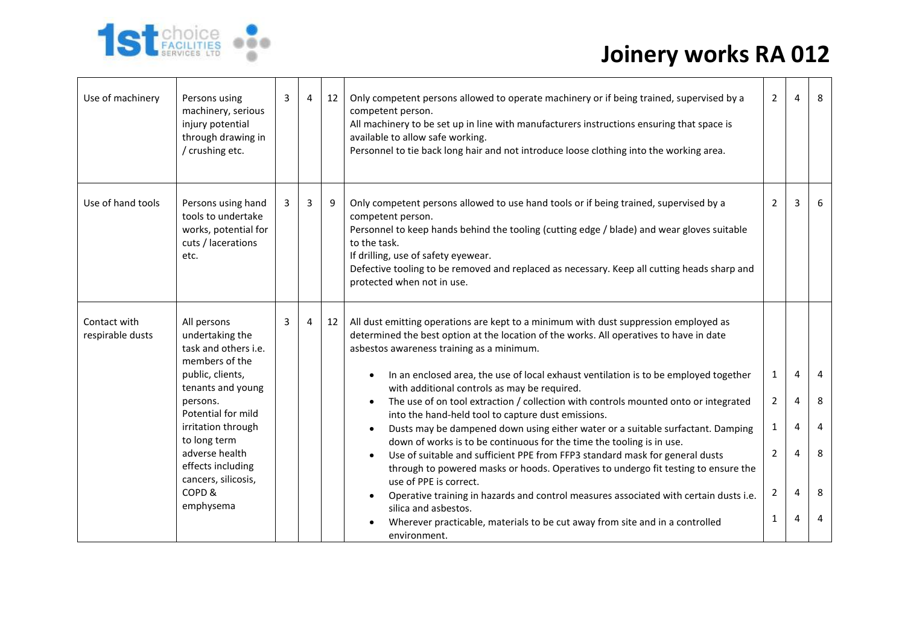

| Use of machinery                 | Persons using<br>machinery, serious<br>injury potential<br>through drawing in<br>/ crushing etc.                                                    | 3              | 4 | 12 | Only competent persons allowed to operate machinery or if being trained, supervised by a<br>competent person.<br>All machinery to be set up in line with manufacturers instructions ensuring that space is<br>available to allow safe working.<br>Personnel to tie back long hair and not introduce loose clothing into the working area.                                                                                                                                                                                                                              | $\overline{2}$                                        | 4                   | 8                        |
|----------------------------------|-----------------------------------------------------------------------------------------------------------------------------------------------------|----------------|---|----|------------------------------------------------------------------------------------------------------------------------------------------------------------------------------------------------------------------------------------------------------------------------------------------------------------------------------------------------------------------------------------------------------------------------------------------------------------------------------------------------------------------------------------------------------------------------|-------------------------------------------------------|---------------------|--------------------------|
| Use of hand tools                | Persons using hand<br>tools to undertake<br>works, potential for<br>cuts / lacerations<br>etc.                                                      | 3              | 3 | 9  | Only competent persons allowed to use hand tools or if being trained, supervised by a<br>competent person.<br>Personnel to keep hands behind the tooling (cutting edge / blade) and wear gloves suitable<br>to the task.<br>If drilling, use of safety eyewear.<br>Defective tooling to be removed and replaced as necessary. Keep all cutting heads sharp and<br>protected when not in use.                                                                                                                                                                           | $\overline{2}$                                        | 3                   | 6                        |
| Contact with<br>respirable dusts | All persons<br>undertaking the<br>task and others i.e.<br>members of the<br>public, clients,<br>tenants and young<br>persons.<br>Potential for mild | $\overline{3}$ | 4 | 12 | All dust emitting operations are kept to a minimum with dust suppression employed as<br>determined the best option at the location of the works. All operatives to have in date<br>asbestos awareness training as a minimum.<br>In an enclosed area, the use of local exhaust ventilation is to be employed together<br>with additional controls as may be required.<br>The use of on tool extraction / collection with controls mounted onto or integrated<br>into the hand-held tool to capture dust emissions.                                                      | $\mathbf{1}$<br>$\overline{2}$                        | $\overline{4}$<br>4 | $\overline{4}$<br>8<br>4 |
|                                  | irritation through<br>to long term<br>adverse health<br>effects including<br>cancers, silicosis,<br>COPD&<br>emphysema                              |                |   |    | Dusts may be dampened down using either water or a suitable surfactant. Damping<br>$\bullet$<br>down of works is to be continuous for the time the tooling is in use.<br>Use of suitable and sufficient PPE from FFP3 standard mask for general dusts<br>through to powered masks or hoods. Operatives to undergo fit testing to ensure the<br>use of PPE is correct.<br>Operative training in hazards and control measures associated with certain dusts i.e.<br>silica and asbestos.<br>Wherever practicable, materials to be cut away from site and in a controlled | $\mathbf{1}$<br>$\overline{2}$<br>$\overline{2}$<br>1 | 4<br>4<br>4<br>4    | 8<br>8<br>4              |